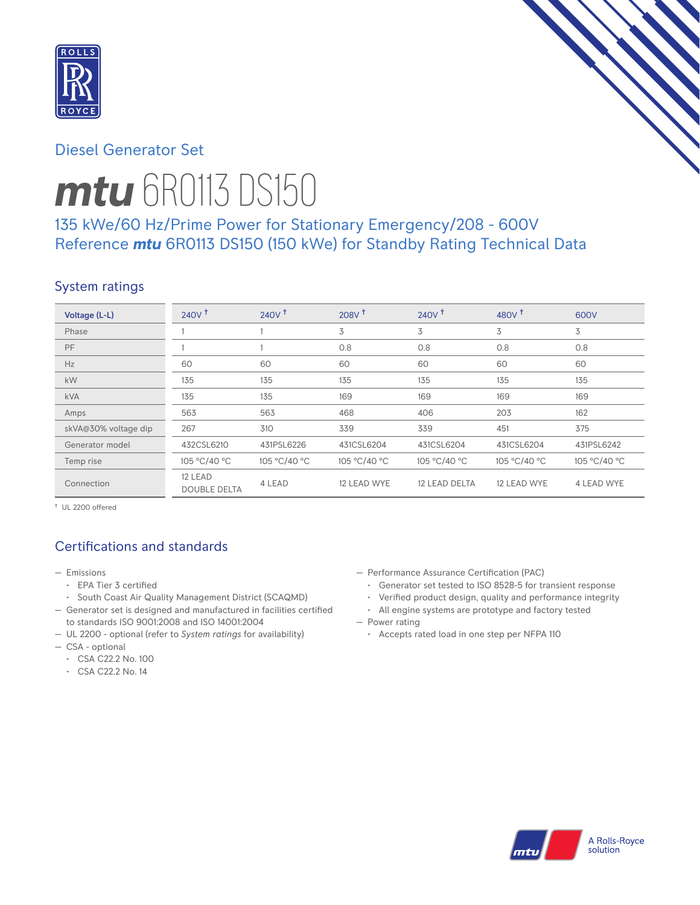

# Diesel Generator Set

# *mtu* 6R0113 DS150

# 135 kWe/60 Hz/Prime Power for Stationary Emergency/208 - 600V Reference *mtu* 6R0113 DS150 (150 kWe) for Standby Rating Technical Data

## System ratings

| Voltage (L-L)        | 240V <sup>†</sup>              | $240V$ <sup>t</sup> | $208V$ <sup>t</sup> | 240V <sup>†</sup> | 480 $v†$     | 600V         |
|----------------------|--------------------------------|---------------------|---------------------|-------------------|--------------|--------------|
| Phase                |                                |                     | 3                   | 3                 | 3            | 3            |
| PF                   |                                |                     | 0.8                 | 0.8               | 0.8          | 0.8          |
| Hz                   | 60                             | 60                  | 60                  | 60                | 60           | 60           |
| kW                   | 135                            | 135                 | 135                 | 135               | 135          | 135          |
| <b>kVA</b>           | 135                            | 135                 | 169                 | 169               | 169          | 169          |
| Amps                 | 563                            | 563                 | 468                 | 406               | 203          | 162          |
| skVA@30% voltage dip | 267                            | 310                 | 339                 | 339               | 451          | 375          |
| Generator model      | 432CSL6210                     | 431PSL6226          | 431CSL6204          | 431CSL6204        | 431CSL6204   | 431PSL6242   |
| Temp rise            | 105 °C/40 °C                   | 105 °C/40 °C        | 105 °C/40 °C        | 105 °C/40 °C      | 105 °C/40 °C | 105 °C/40 °C |
| Connection           | 12 LEAD<br><b>DOUBLE DELTA</b> | 4 LEAD              | 12 LEAD WYE         | 12 LEAD DELTA     | 12 LEAD WYE  | 4 LEAD WYE   |

† UL 2200 offered

# Certifications and standards

- Emissions
	- EPA Tier 3 certified
	- South Coast Air Quality Management District (SCAQMD)
- Generator set is designed and manufactured in facilities certified to standards ISO 9001:2008 and ISO 14001:2004
- UL 2200 optional (refer to *System ratings* for availability)
- CSA optional
	- CSA C22.2 No. 100
	- CSA C22.2 No. 14
- Performance Assurance Certification (PAC)
	- Generator set tested to ISO 8528-5 for transient response
	- Verified product design, quality and performance integrity
	- All engine systems are prototype and factory tested
- Power rating
	- Accepts rated load in one step per NFPA 110

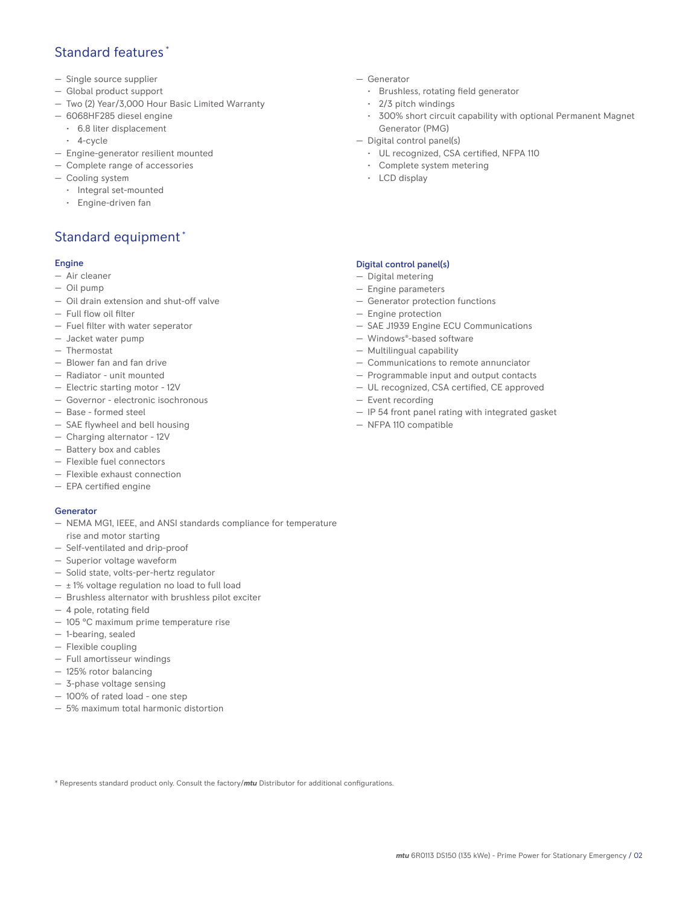## Standard features \*

- Single source supplier
- Global product support
- Two (2) Year/3,000 Hour Basic Limited Warranty
- 6068HF285 diesel engine
	- 6.8 liter displacement
	- 4-cycle
- Engine-generator resilient mounted
- Complete range of accessories
- Cooling system
	- Integral set-mounted
	- Engine-driven fan

# Standard equipment \*

#### Engine

- Air cleaner
- Oil pump
- Oil drain extension and shut-off valve
- Full flow oil filter
- Fuel filter with water seperator
- Jacket water pump
- Thermostat
- Blower fan and fan drive
- Radiator unit mounted
- Electric starting motor 12V
- Governor electronic isochronous
- Base formed steel
- SAE flywheel and bell housing
- Charging alternator 12V
- Battery box and cables
- Flexible fuel connectors
- Flexible exhaust connection
- EPA certified engine

#### Generator

- NEMA MG1, IEEE, and ANSI standards compliance for temperature rise and motor starting
- Self-ventilated and drip-proof
- Superior voltage waveform
- Solid state, volts-per-hertz regulator
- $\pm$  1% voltage regulation no load to full load
- Brushless alternator with brushless pilot exciter
- 4 pole, rotating field
- 105 °C maximum prime temperature rise
- 1-bearing, sealed
- Flexible coupling
- Full amortisseur windings
- 125% rotor balancing
- 3-phase voltage sensing
- 100% of rated load one step
- 5% maximum total harmonic distortion
- Generator
	- Brushless, rotating field generator
	- 2/3 pitch windings
	- 300% short circuit capability with optional Permanent Magnet Generator (PMG)
- Digital control panel(s)
	- UL recognized, CSA certified, NFPA 110
	- Complete system metering
	- LCD display

## Digital control panel(s)

- Digital metering
- Engine parameters
- Generator protection functions
- Engine protection
- SAE J1939 Engine ECU Communications
- Windows®-based software
- Multilingual capability
- Communications to remote annunciator
- Programmable input and output contacts
- UL recognized, CSA certified, CE approved
- Event recording
- IP 54 front panel rating with integrated gasket
- NFPA 110 compatible

\* Represents standard product only. Consult the factory/*mtu* Distributor for additional configurations.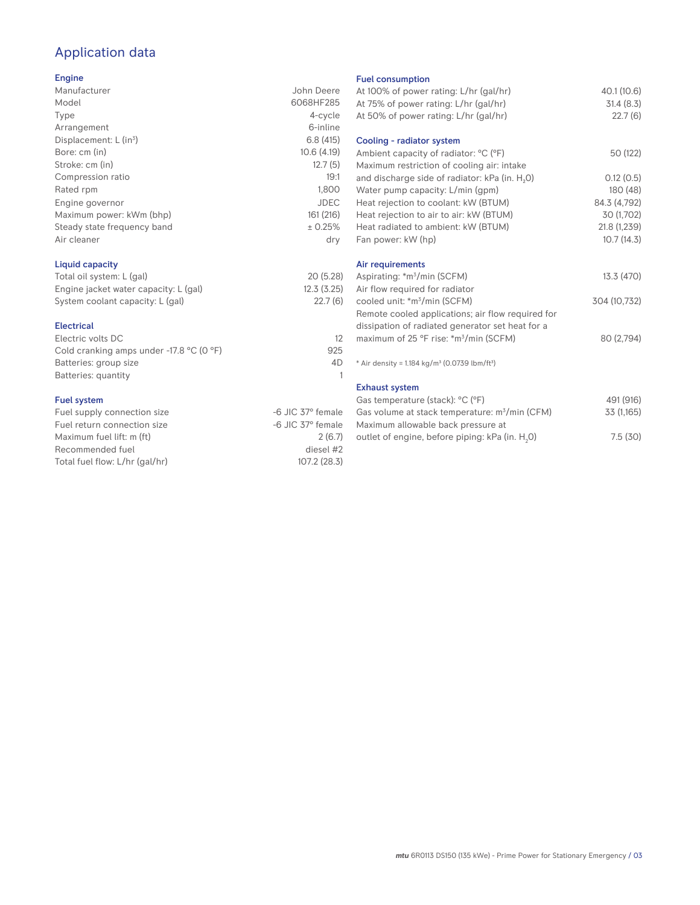# Application data

### Engine

| Manufacturer                         | John Deere  |
|--------------------------------------|-------------|
| Model                                | 6068HF285   |
| Type                                 | 4-cycle     |
| Arrangement                          | 6-inline    |
| Displacement: $L$ (in <sup>3</sup> ) | 6.8(415)    |
| Bore: cm (in)                        | 10.6(4.19)  |
| Stroke: cm (in)                      | 12.7(5)     |
| Compression ratio                    | 19:1        |
| Rated rpm                            | 1,800       |
| Engine governor                      | <b>JDEC</b> |
| Maximum power: kWm (bhp)             | 161 (216)   |
| Steady state frequency band          | ± 0.25%     |
| Air cleaner                          | dry         |
|                                      |             |
|                                      |             |

## Liquid capacity

| Total oil system: L (gal)             | 20(5.28)   |
|---------------------------------------|------------|
| Engine jacket water capacity: L (gal) | 12.3(3.25) |
| System coolant capacity: L (gal)      | 22.7(6)    |

#### Electrical

| Electric volts DC                                            |     |
|--------------------------------------------------------------|-----|
| Cold cranking amps under -17.8 $^{\circ}$ C (O $^{\circ}$ F) | 925 |
| Batteries: group size                                        | 4D  |
| Batteries: quantity                                          |     |
|                                                              |     |

## Fuel system

| Fuel supply connection size    | -6 JIC 37° female |
|--------------------------------|-------------------|
| Fuel return connection size    | -6 JIC 37° female |
| Maximum fuel lift: m (ft)      | 2(6.7)            |
| Recommended fuel               | diesel #2         |
| Total fuel flow: L/hr (gal/hr) | 107.2 (28.3)      |
|                                |                   |

#### Fuel consumption

| .e             | At 100% of power rating: L/hr (gal/hr)                               | 40.1 (10.6)  |
|----------------|----------------------------------------------------------------------|--------------|
| 5              | At 75% of power rating: L/hr (gal/hr)                                | 31.4(8.3)    |
| e              | At 50% of power rating: L/hr (gal/hr)                                | 22.7(6)      |
| е              |                                                                      |              |
| 5)             | Cooling - radiator system                                            |              |
| 3)             | Ambient capacity of radiator: °C (°F)                                | 50 (122)     |
| 5)             | Maximum restriction of cooling air: intake                           |              |
| :1             | and discharge side of radiator: kPa (in. H <sub>2</sub> O)           | 0.12(0.5)    |
| 0              | Water pump capacity: L/min (gpm)                                     | 180 (48)     |
| С              | Heat rejection to coolant: kW (BTUM)                                 | 84.3 (4,792) |
| 5)             | Heat rejection to air to air: kW (BTUM)                              | 30 (1,702)   |
| ℅              | Heat radiated to ambient: kW (BTUM)                                  | 21.8 (1,239) |
| y.             | Fan power: kW (hp)                                                   | 10.7(14.3)   |
|                | Air requirements                                                     |              |
| 8)             | Aspirating: *m <sup>3</sup> /min (SCFM)                              | 13.3 (470)   |
| !5)            | Air flow required for radiator                                       |              |
| (6)            | cooled unit: *m <sup>3</sup> /min (SCFM)                             | 304 (10,732) |
|                | Remote cooled applications; air flow required for                    |              |
|                | dissipation of radiated generator set heat for a                     |              |
| 12             | maximum of 25 °F rise: *m <sup>3</sup> /min (SCFM)                   | 80 (2,794)   |
| 25             |                                                                      |              |
| ŀD             | * Air density = $1.184 \text{ kg/m}^3$ (0.0739 lbm/ft <sup>3</sup> ) |              |
| $\overline{1}$ |                                                                      |              |
|                | <b>Exhaust system</b>                                                |              |
|                | Gas temperature (stack): °C (°F)                                     | 491 (916)    |
| ıle            | Gas volume at stack temperature: m <sup>3</sup> /min (CFM)           | 33 (1,165)   |
| ıle            | Maximum allowable back pressure at                                   |              |
| .7)            | outlet of engine, before piping: kPa (in. H <sub>2</sub> 0)          | 7.5(30)      |
|                |                                                                      |              |